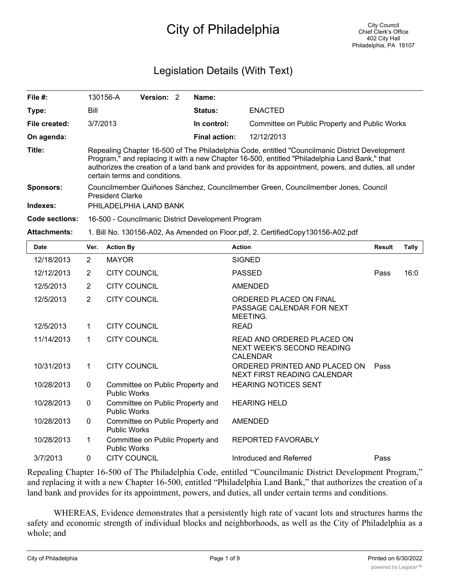# City of Philadelphia

## Legislation Details (With Text)

| File #:               | 130156-A                                                                                                                                                                                                                                                                                                                                   | <b>Version: 2</b> |  | Name:                |                                               |  |  |
|-----------------------|--------------------------------------------------------------------------------------------------------------------------------------------------------------------------------------------------------------------------------------------------------------------------------------------------------------------------------------------|-------------------|--|----------------------|-----------------------------------------------|--|--|
| Type:                 | Bill                                                                                                                                                                                                                                                                                                                                       |                   |  | Status:              | <b>ENACTED</b>                                |  |  |
| File created:         | 3/7/2013                                                                                                                                                                                                                                                                                                                                   |                   |  | In control:          | Committee on Public Property and Public Works |  |  |
| On agenda:            |                                                                                                                                                                                                                                                                                                                                            |                   |  | <b>Final action:</b> | 12/12/2013                                    |  |  |
| Title:                | Repealing Chapter 16-500 of The Philadelphia Code, entitled "Councilmanic District Development<br>Program," and replacing it with a new Chapter 16-500, entitled "Philadelphia Land Bank," that<br>authorizes the creation of a land bank and provides for its appointment, powers, and duties, all under<br>certain terms and conditions. |                   |  |                      |                                               |  |  |
| <b>Sponsors:</b>      | Councilmember Quiñones Sánchez, Councilmember Green, Councilmember Jones, Council<br><b>President Clarke</b>                                                                                                                                                                                                                               |                   |  |                      |                                               |  |  |
| Indexes:              | PHILADELPHIA LAND BANK                                                                                                                                                                                                                                                                                                                     |                   |  |                      |                                               |  |  |
| <b>Code sections:</b> | 16-500 - Councilmanic District Development Program                                                                                                                                                                                                                                                                                         |                   |  |                      |                                               |  |  |
| <b>Attachments:</b>   | 1. Bill No. 130156-A02, As Amended on Floor.pdf, 2. CertifiedCopy130156-A02.pdf                                                                                                                                                                                                                                                            |                   |  |                      |                                               |  |  |

| <b>Date</b> | Ver.           | <b>Action By</b>                                        | <b>Action</b>                                                               | <b>Result</b> | <b>Tally</b> |
|-------------|----------------|---------------------------------------------------------|-----------------------------------------------------------------------------|---------------|--------------|
| 12/18/2013  | 2              | <b>MAYOR</b>                                            | <b>SIGNED</b>                                                               |               |              |
| 12/12/2013  | 2              | <b>CITY COUNCIL</b>                                     | <b>PASSED</b>                                                               | Pass          | 16:0         |
| 12/5/2013   | 2              | <b>CITY COUNCIL</b>                                     | <b>AMENDED</b>                                                              |               |              |
| 12/5/2013   | $\overline{2}$ | <b>CITY COUNCIL</b>                                     | ORDERED PLACED ON FINAL<br>PASSAGE CALENDAR FOR NEXT<br>MEETING.            |               |              |
| 12/5/2013   | 1              | <b>CITY COUNCIL</b>                                     | <b>READ</b>                                                                 |               |              |
| 11/14/2013  | 1              | <b>CITY COUNCIL</b>                                     | READ AND ORDERED PLACED ON<br>NEXT WEEK'S SECOND READING<br><b>CALENDAR</b> |               |              |
| 10/31/2013  | 1              | <b>CITY COUNCIL</b>                                     | ORDERED PRINTED AND PLACED ON<br>NEXT FIRST READING CALENDAR                | Pass          |              |
| 10/28/2013  | $\mathbf{0}$   | Committee on Public Property and<br><b>Public Works</b> | <b>HEARING NOTICES SENT</b>                                                 |               |              |
| 10/28/2013  | $\mathbf{0}$   | Committee on Public Property and<br><b>Public Works</b> | <b>HEARING HELD</b>                                                         |               |              |
| 10/28/2013  | $\mathbf{0}$   | Committee on Public Property and<br><b>Public Works</b> | <b>AMENDED</b>                                                              |               |              |
| 10/28/2013  | 1              | Committee on Public Property and<br><b>Public Works</b> | <b>REPORTED FAVORABLY</b>                                                   |               |              |
| 3/7/2013    | $\mathbf{0}$   | <b>CITY COUNCIL</b>                                     | Introduced and Referred                                                     | Pass          |              |

Repealing Chapter 16-500 of The Philadelphia Code, entitled "Councilmanic District Development Program," and replacing it with a new Chapter 16-500, entitled "Philadelphia Land Bank," that authorizes the creation of a land bank and provides for its appointment, powers, and duties, all under certain terms and conditions.

WHEREAS, Evidence demonstrates that a persistently high rate of vacant lots and structures harms the safety and economic strength of individual blocks and neighborhoods, as well as the City of Philadelphia as a whole; and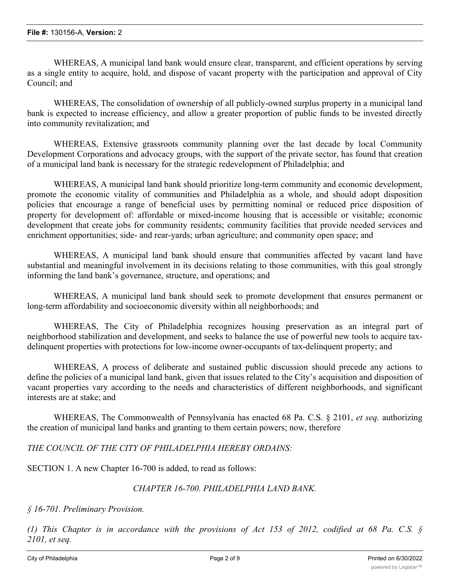WHEREAS, A municipal land bank would ensure clear, transparent, and efficient operations by serving as a single entity to acquire, hold, and dispose of vacant property with the participation and approval of City Council; and

WHEREAS, The consolidation of ownership of all publicly-owned surplus property in a municipal land bank is expected to increase efficiency, and allow a greater proportion of public funds to be invested directly into community revitalization; and

WHEREAS, Extensive grassroots community planning over the last decade by local Community Development Corporations and advocacy groups, with the support of the private sector, has found that creation of a municipal land bank is necessary for the strategic redevelopment of Philadelphia; and

WHEREAS, A municipal land bank should prioritize long-term community and economic development, promote the economic vitality of communities and Philadelphia as a whole, and should adopt disposition policies that encourage a range of beneficial uses by permitting nominal or reduced price disposition of property for development of: affordable or mixed-income housing that is accessible or visitable; economic development that create jobs for community residents; community facilities that provide needed services and enrichment opportunities; side- and rear-yards; urban agriculture; and community open space; and

WHEREAS, A municipal land bank should ensure that communities affected by vacant land have substantial and meaningful involvement in its decisions relating to those communities, with this goal strongly informing the land bank's governance, structure, and operations; and

WHEREAS, A municipal land bank should seek to promote development that ensures permanent or long-term affordability and socioeconomic diversity within all neighborhoods; and

WHEREAS, The City of Philadelphia recognizes housing preservation as an integral part of neighborhood stabilization and development, and seeks to balance the use of powerful new tools to acquire taxdelinquent properties with protections for low-income owner-occupants of tax-delinquent property; and

WHEREAS, A process of deliberate and sustained public discussion should precede any actions to define the policies of a municipal land bank, given that issues related to the City's acquisition and disposition of vacant properties vary according to the needs and characteristics of different neighborhoods, and significant interests are at stake; and

WHEREAS, The Commonwealth of Pennsylvania has enacted 68 Pa. C.S. § 2101, *et seq.* authorizing the creation of municipal land banks and granting to them certain powers; now, therefore

*THE COUNCIL OF THE CITY OF PHILADELPHIA HEREBY ORDAINS:*

SECTION 1. A new Chapter 16-700 is added, to read as follows:

### *CHAPTER 16-700. PHILADELPHIA LAND BANK.*

*§ 16-701. Preliminary Provision.*

(1) This Chapter is in accordance with the provisions of Act 153 of 2012, codified at 68 Pa. C.S.  $\S$ *2101, et seq.*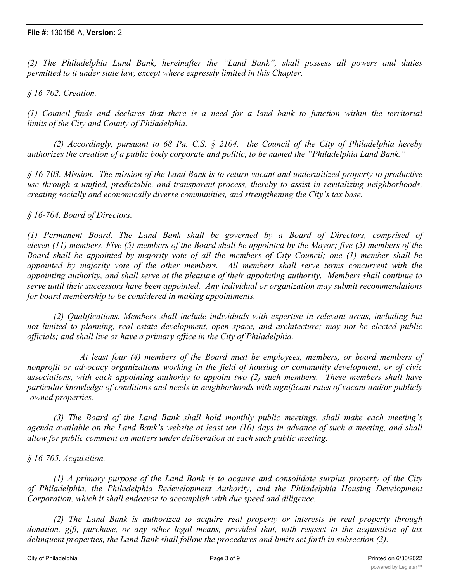*(2) The Philadelphia Land Bank, hereinafter the "Land Bank", shall possess all powers and duties permitted to it under state law, except where expressly limited in this Chapter.*

*§ 16-702. Creation.*

(1) Council finds and declares that there is a need for a land bank to function within the territorial *limits of the City and County of Philadelphia.*

*(2) Accordingly, pursuant to 68 Pa. C.S. § 2104, the Council of the City of Philadelphia hereby authorizes the creation of a public body corporate and politic, to be named the "Philadelphia Land Bank."*

 $\{16-703\}$ . Mission. The mission of the Land Bank is to return vacant and underutilized property to productive *use through a unified, predictable, and transparent process, thereby to assist in revitalizing neighborhoods, creating socially and economically diverse communities, and strengthening the City's tax base.*

### *§ 16-704. Board of Directors.*

*(1) Permanent Board. The Land Bank shall be governed by a Board of Directors, comprised of* eleven  $(11)$  members. Five  $(5)$  members of the Board shall be appointed by the Mayor; five  $(5)$  members of the Board shall be appointed by majority vote of all the members of City Council; one (1) member shall be *appointed by majority vote of the other members. All members shall serve terms concurrent with the appointing authority, and shall serve at the pleasure of their appointing authority. Members shall continue to serve until their successors have been appointed. Any individual or organization may submit recommendations for board membership to be considered in making appointments.*

*(2) Qualifications. Members shall include individuals with expertise in relevant areas, including but not limited to planning, real estate development, open space, and architecture; may not be elected public officials; and shall live or have a primary office in the City of Philadelphia.*

*At least four (4) members of the Board must be employees, members, or board members of nonprofit or advocacy organizations working in the field of housing or community development, or of civic associations, with each appointing authority to appoint two (2) such members. These members shall have particular knowledge of conditions and needs in neighborhoods with significant rates of vacant and/or publicly -owned properties.*

*(3) The Board of the Land Bank shall hold monthly public meetings, shall make each meeting's* agenda available on the Land Bank's website at least ten (10) days in advance of such a meeting, and shall *allow for public comment on matters under deliberation at each such public meeting.*

### *§ 16-705. Acquisition.*

*(1) A primary purpose of the Land Bank is to acquire and consolidate surplus property of the City of Philadelphia, the Philadelphia Redevelopment Authority, and the Philadelphia Housing Development Corporation, which it shall endeavor to accomplish with due speed and diligence.*

*(2) The Land Bank is authorized to acquire real property or interests in real property through donation, gift, purchase, or any other legal means, provided that, with respect to the acquisition of tax delinquent properties, the Land Bank shall follow the procedures and limits set forth in subsection (3).*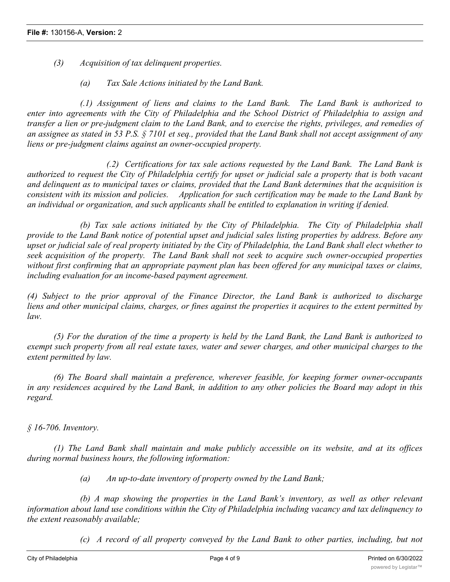- *(3) Acquisition of tax delinquent properties.*
	- *(a) Tax Sale Actions initiated by the Land Bank.*

*(.1) Assignment of liens and claims to the Land Bank. The Land Bank is authorized to enter into agreements with the City of Philadelphia and the School District of Philadelphia to assign and* transfer a lien or pre-judgment claim to the Land Bank, and to exercise the rights, privileges, and remedies of an assignee as stated in 53 P.S.  $\S$  7101 et seq., provided that the Land Bank shall not accept assignment of any *liens or pre-judgment claims against an owner-occupied property.*

*(.2) Certifications for tax sale actions requested by the Land Bank. The Land Bank is* authorized to request the City of Philadelphia certify for upset or judicial sale a property that is both vacant and delinguent as to municipal taxes or claims, provided that the Land Bank determines that the acquisition is consistent with its mission and policies. Application for such certification may be made to the Land Bank by *an individual or organization, and such applicants shall be entitled to explanation in writing if denied.*

*(b) Tax sale actions initiated by the City of Philadelphia. The City of Philadelphia shall* provide to the Land Bank notice of potential upset and judicial sales listing properties by address. Before any upset or judicial sale of real property initiated by the City of Philadelphia, the Land Bank shall elect whether to *seek acquisition of the property. The Land Bank shall not seek to acquire such owner-occupied properties* without first confirming that an appropriate payment plan has been offered for any municipal taxes or claims, *including evaluation for an income-based payment agreement.*

*(4) Subject to the prior approval of the Finance Director, the Land Bank is authorized to discharge* liens and other municipal claims, charges, or fines against the properties it acquires to the extent permitted by *law.*

(5) For the duration of the time a property is held by the Land Bank, the Land Bank is authorized to exempt such property from all real estate taxes, water and sewer charges, and other municipal charges to the *extent permitted by law.*

*(6) The Board shall maintain a preference, wherever feasible, for keeping former owner-occupants* in any residences acquired by the Land Bank, in addition to any other policies the Board may adopt in this *regard.*

*§ 16-706. Inventory.*

*(1) The Land Bank shall maintain and make publicly accessible on its website, and at its offices during normal business hours, the following information:*

*(a) An up-to-date inventory of property owned by the Land Bank;*

*(b) A map showing the properties in the Land Bank's inventory, as well as other relevant information about land use conditions within the City of Philadelphia including vacancy and tax delinquency to the extent reasonably available;*

*(c) A record of all property conveyed by the Land Bank to other parties, including, but not*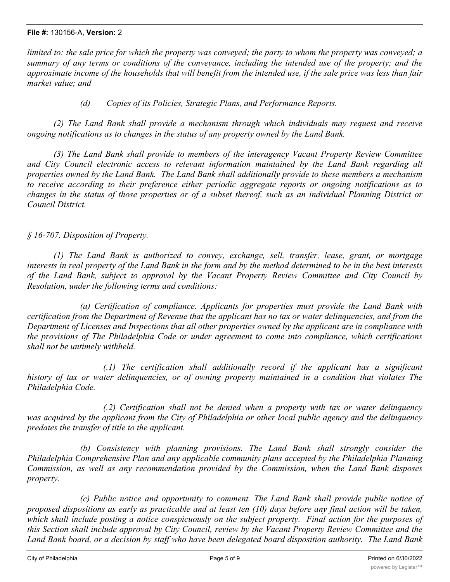limited to: the sale price for which the property was conveyed; the party to whom the property was conveyed; a summary of any terms or conditions of the conveyance, including the intended use of the property; and the approximate income of the households that will benefit from the intended use, if the sale price was less than fair *market value; and*

*(d) Copies of its Policies, Strategic Plans, and Performance Reports.*

*(2) The Land Bank shall provide a mechanism through which individuals may request and receive ongoing notifications as to changes in the status of any property owned by the Land Bank.*

*(3) The Land Bank shall provide to members of the interagency Vacant Property Review Committee and City Council electronic access to relevant information maintained by the Land Bank regarding all properties owned by the Land Bank. The Land Bank shall additionally provide to these members a mechanism to receive according to their preference either periodic aggregate reports or ongoing notifications as to* changes in the status of those properties or of a subset thereof, such as an individual Planning District or *Council District.*

*§ 16-707. Disposition of Property.*

*(1) The Land Bank is authorized to convey, exchange, sell, transfer, lease, grant, or mortgage* interests in real property of the Land Bank in the form and by the method determined to be in the best interests *of the Land Bank, subject to approval by the Vacant Property Review Committee and City Council by Resolution, under the following terms and conditions:*

*(a) Certification of compliance. Applicants for properties must provide the Land Bank with* certification from the Department of Revenue that the applicant has no tax or water delinguencies, and from the Department of Licenses and Inspections that all other properties owned by the applicant are in compliance with *the provisions of The Philadelphia Code or under agreement to come into compliance, which certifications shall not be untimely withheld.*

*(.1) The certification shall additionally record if the applicant has a significant history of tax or water delinquencies, or of owning property maintained in a condition that violates The Philadelphia Code.*

*(.2) Certification shall not be denied when a property with tax or water delinquency* was acquired by the applicant from the City of Philadelphia or other local public agency and the delinquency *predates the transfer of title to the applicant.*

*(b) Consistency with planning provisions. The Land Bank shall strongly consider the Philadelphia Comprehensive Plan and any applicable community plans accepted by the Philadelphia Planning Commission, as well as any recommendation provided by the Commission, when the Land Bank disposes property.*

*(c) Public notice and opportunity to comment. The Land Bank shall provide public notice of* proposed dispositions as early as practicable and at least ten (10) days before any final action will be taken, which shall include posting a notice conspicuously on the subject property. Final action for the purposes of this Section shall include approval by City Council, review by the Vacant Property Review Committee and the Land Bank board, or a decision by staff who have been delegated board disposition authority. The Land Bank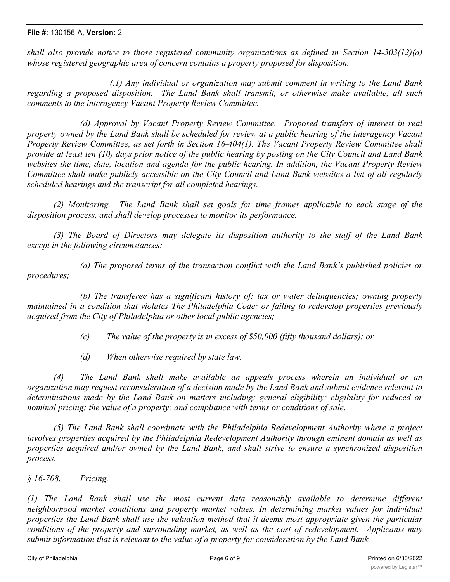*shall also provide notice to those registered community organizations as defined in Section 14-303(12)(a) whose registered geographic area of concern contains a property proposed for disposition.*

*(.1) Any individual or organization may submit comment in writing to the Land Bank regarding a proposed disposition. The Land Bank shall transmit, or otherwise make available, all such comments to the interagency Vacant Property Review Committee.*

*(d) Approval by Vacant Property Review Committee. Proposed transfers of interest in real* property owned by the Land Bank shall be scheduled for review at a public hearing of the interagency Vacant *Property Review Committee, as set forth in Section 16-404(1). The Vacant Property Review Committee shall* provide at least ten (10) days prior notice of the public hearing by posting on the City Council and Land Bank websites the time, date, location and agenda for the public hearing. In addition, the Vacant Property Review Committee shall make publicly accessible on the City Council and Land Bank websites a list of all regularly *scheduled hearings and the transcript for all completed hearings.*

*(2) Monitoring. The Land Bank shall set goals for time frames applicable to each stage of the disposition process, and shall develop processes to monitor its performance.*

*(3) The Board of Directors may delegate its disposition authority to the staff of the Land Bank except in the following circumstances:*

*(a) The proposed terms of the transaction conflict with the Land Bank's published policies or procedures;*

*(b) The transferee has a significant history of: tax or water delinquencies; owning property maintained in a condition that violates The Philadelphia Code; or failing to redevelop properties previously acquired from the City of Philadelphia or other local public agencies;*

*(c) The value of the property is in excess of \$50,000 (fifty thousand dollars); or*

*(d) When otherwise required by state law.*

*(4) The Land Bank shall make available an appeals process wherein an individual or an* organization may request reconsideration of a decision made by the Land Bank and submit evidence relevant to *determinations made by the Land Bank on matters including: general eligibility; eligibility for reduced or nominal pricing; the value of a property; and compliance with terms or conditions of sale.*

*(5) The Land Bank shall coordinate with the Philadelphia Redevelopment Authority where a project involves properties acquired by the Philadelphia Redevelopment Authority through eminent domain as well as properties acquired and/or owned by the Land Bank, and shall strive to ensure a synchronized disposition process.*

*§ 16-708. Pricing.*

*(1) The Land Bank shall use the most current data reasonably available to determine different neighborhood market conditions and property market values. In determining market values for individual* properties the Land Bank shall use the valuation method that it deems most appropriate given the particular *conditions of the property and surrounding market, as well as the cost of redevelopment. Applicants may submit information that is relevant to the value of a property for consideration by the Land Bank.*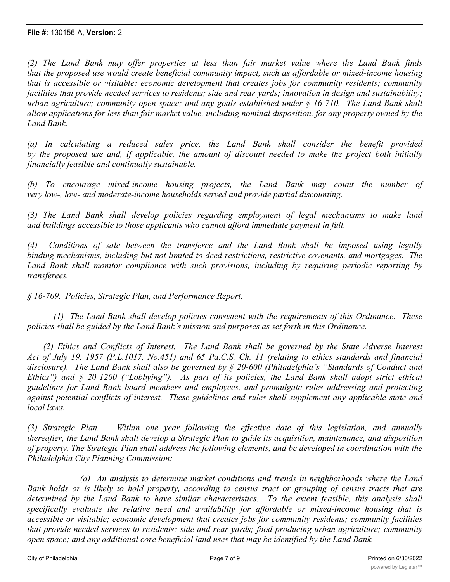*(2) The Land Bank may offer properties at less than fair market value where the Land Bank finds that the proposed use would create beneficial community impact, such as affordable or mixed-income housing that is accessible or visitable; economic development that creates jobs for community residents; community facilities that provide needed services to residents; side and rear-yards; innovation in design and sustainability; urban agriculture; community open space; and any goals established under § 16-710. The Land Bank shall* allow applications for less than fair market value, including nominal disposition, for any property owned by the *Land Bank.*

*(a) In calculating a reduced sales price, the Land Bank shall consider the benefit provided* by the proposed use and, if applicable, the amount of discount needed to make the project both initially *financially feasible and continually sustainable.*

*(b) To encourage mixed-income housing projects, the Land Bank may count the number of very low-, low- and moderate-income households served and provide partial discounting.*

*(3) The Land Bank shall develop policies regarding employment of legal mechanisms to make land and buildings accessible to those applicants who cannot afford immediate payment in full.*

*(4) Conditions of sale between the transferee and the Land Bank shall be imposed using legally binding mechanisms, including but not limited to deed restrictions, restrictive covenants, and mortgages. The Land Bank shall monitor compliance with such provisions, including by requiring periodic reporting by transferees.*

*§ 16-709. Policies, Strategic Plan, and Performance Report.*

*(1) The Land Bank shall develop policies consistent with the requirements of this Ordinance. These policies shall be guided by the Land Bank's mission and purposes as set forth in this Ordinance.*

*(2) Ethics and Conflicts of Interest. The Land Bank shall be governed by the State Adverse Interest* Act of July 19, 1957 (P.L.1017, No.451) and 65 Pa.C.S. Ch. 11 (relating to ethics standards and financial *disclosure). The Land Bank shall also be governed by § 20-600 (Philadelphia's "Standards of Conduct and Ethics") and § 20-1200 ("Lobbying"). As part of its policies, the Land Bank shall adopt strict ethical guidelines for Land Bank board members and employees, and promulgate rules addressing and protecting against potential conflicts of interest. These guidelines and rules shall supplement any applicable state and local laws.*

*(3) Strategic Plan. Within one year following the effective date of this legislation, and annually thereafter, the Land Bank shall develop a Strategic Plan to guide its acquisition, maintenance, and disposition* of property. The Strategic Plan shall address the following elements, and be developed in coordination with the *Philadelphia City Planning Commission:*

*(a) An analysis to determine market conditions and trends in neighborhoods where the Land* Bank holds or is likely to hold property, according to census tract or grouping of census tracts that are *determined by the Land Bank to have similar characteristics. To the extent feasible, this analysis shall specifically evaluate the relative need and availability for affordable or mixed-income housing that is accessible or visitable; economic development that creates jobs for community residents; community facilities that provide needed services to residents; side and rear-yards; food-producing urban agriculture; community open space; and any additional core beneficial land uses that may be identified by the Land Bank.*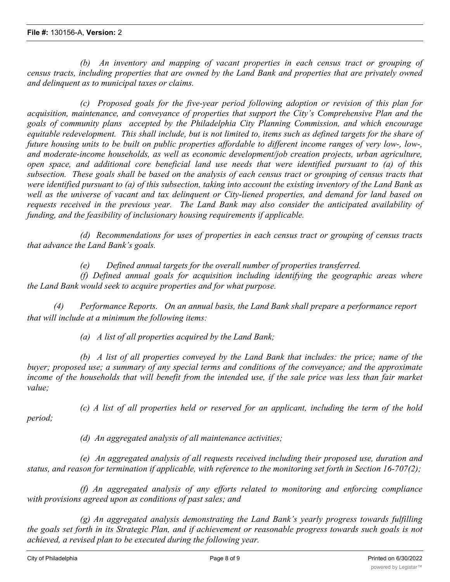*(b) An inventory and mapping of vacant properties in each census tract or grouping of* census tracts, including properties that are owned by the Land Bank and properties that are privately owned *and delinquent as to municipal taxes or claims.*

*(c) Proposed goals for the five-year period following adoption or revision of this plan for acquisition, maintenance, and conveyance of properties that support the City's Comprehensive Plan and the goals of community plans accepted by the Philadelphia City Planning Commission, and which encourage* equitable redevelopment. This shall include, but is not limited to, items such as defined targets for the share of future housing units to be built on public properties affordable to different income ranges of very low-, low-, *and moderate-income households, as well as economic development/job creation projects, urban agriculture, open space, and additional core beneficial land use needs that were identified pursuant to (a) of this* subsection. These goals shall be based on the analysis of each census tract or grouping of census tracts that were identified pursuant to (a) of this subsection, taking into account the existing inventory of the Land Bank as well as the universe of vacant and tax delinguent or City-liened properties, and demand for land based on *requests received in the previous year. The Land Bank may also consider the anticipated availability of funding, and the feasibility of inclusionary housing requirements if applicable.*

*(d) Recommendations for uses of properties in each census tract or grouping of census tracts that advance the Land Bank's goals.*

*(e) Defined annual targets for the overall number of properties transferred.*

*(f) Defined annual goals for acquisition including identifying the geographic areas where the Land Bank would seek to acquire properties and for what purpose.*

*(4) Performance Reports. On an annual basis, the Land Bank shall prepare a performance report that will include at a minimum the following items:*

*(a) A list of all properties acquired by the Land Bank;*

*(b) A list of all properties conveyed by the Land Bank that includes: the price; name of the buyer; proposed use; a summary of any special terms and conditions of the conveyance; and the approximate* income of the households that will benefit from the intended use, if the sale price was less than fair market *value;*

*period;*

*(c) A list of all properties held or reserved for an applicant, including the term of the hold*

*(d) An aggregated analysis of all maintenance activities;*

*(e) An aggregated analysis of all requests received including their proposed use, duration and status, and reason for termination if applicable, with reference to the monitoring set forth in Section 16-707(2);*

*(f) An aggregated analysis of any efforts related to monitoring and enforcing compliance with provisions agreed upon as conditions of past sales; and*

*(g) An aggregated analysis demonstrating the Land Bank's yearly progress towards fulfilling* the goals set forth in its Strategic Plan, and if achievement or reasonable progress towards such goals is not *achieved, a revised plan to be executed during the following year.*